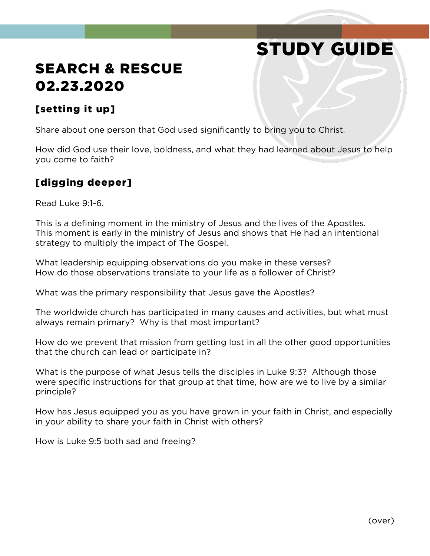# STUDY GUIDE

### SEARCH & RESCUE 02.23.2020

#### [setting it up]

Share about one person that God used significantly to bring you to Christ.

How did God use their love, boldness, and what they had learned about Jesus to help you come to faith?

#### [digging deeper]

Read Luke 9:1-6.

This is a defining moment in the ministry of Jesus and the lives of the Apostles. This moment is early in the ministry of Jesus and shows that He had an intentional strategy to multiply the impact of The Gospel.

What leadership equipping observations do you make in these verses? How do those observations translate to your life as a follower of Christ?

What was the primary responsibility that Jesus gave the Apostles?

The worldwide church has participated in many causes and activities, but what must always remain primary? Why is that most important?

How do we prevent that mission from getting lost in all the other good opportunities that the church can lead or participate in?

What is the purpose of what Jesus tells the disciples in Luke 9:3? Although those were specific instructions for that group at that time, how are we to live by a similar principle?

How has Jesus equipped you as you have grown in your faith in Christ, and especially in your ability to share your faith in Christ with others?

How is Luke 9:5 both sad and freeing?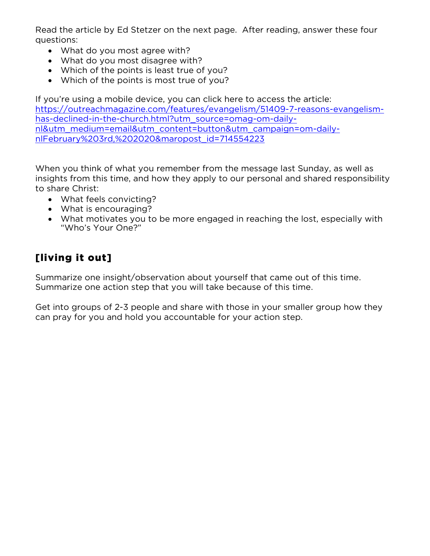Read the article by Ed Stetzer on the next page. After reading, answer these four questions:

- What do you most agree with?
- What do you most disagree with?
- Which of the points is least true of you?
- Which of the points is most true of you?

If you're using a mobile device, you can click here to access the article: [https://outreachmagazine.com/features/evangelism/51409-7-reasons-evangelism](https://outreachmagazine.com/features/evangelism/51409-7-reasons-evangelism-has-declined-in-the-church.html?utm_source=omag-om-daily-nl&utm_medium=email&utm_content=button&utm_campaign=om-daily-nlFebruary%203rd,%202020&maropost_id=714554223)[has-declined-in-the-church.html?utm\\_source=omag-om-daily](https://outreachmagazine.com/features/evangelism/51409-7-reasons-evangelism-has-declined-in-the-church.html?utm_source=omag-om-daily-nl&utm_medium=email&utm_content=button&utm_campaign=om-daily-nlFebruary%203rd,%202020&maropost_id=714554223)[nl&utm\\_medium=email&utm\\_content=button&utm\\_campaign=om-daily](https://outreachmagazine.com/features/evangelism/51409-7-reasons-evangelism-has-declined-in-the-church.html?utm_source=omag-om-daily-nl&utm_medium=email&utm_content=button&utm_campaign=om-daily-nlFebruary%203rd,%202020&maropost_id=714554223)[nlFebruary%203rd,%202020&maropost\\_id=714554223](https://outreachmagazine.com/features/evangelism/51409-7-reasons-evangelism-has-declined-in-the-church.html?utm_source=omag-om-daily-nl&utm_medium=email&utm_content=button&utm_campaign=om-daily-nlFebruary%203rd,%202020&maropost_id=714554223)

When you think of what you remember from the message last Sunday, as well as insights from this time, and how they apply to our personal and shared responsibility to share Christ:

- What feels convicting?
- What is encouraging?
- What motivates you to be more engaged in reaching the lost, especially with "Who's Your One?"

#### [living it out]

Summarize one insight/observation about yourself that came out of this time. Summarize one action step that you will take because of this time.

Get into groups of 2-3 people and share with those in your smaller group how they can pray for you and hold you accountable for your action step.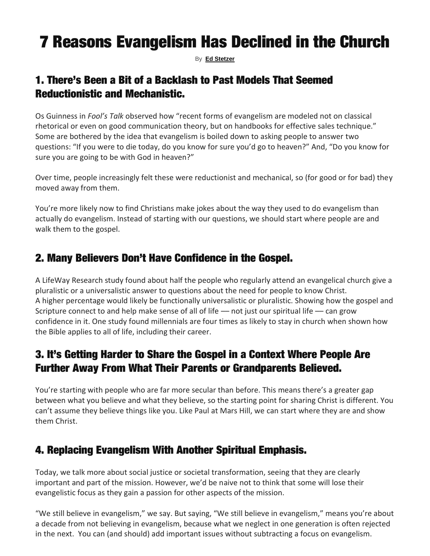## 7 Reasons Evangelism Has Declined in the Church

By **[Ed Stetzer](https://outreachmagazine.com/author/ed-stetzer)**

#### 1. There's Been a Bit of a Backlash to Past Models That Seemed Reductionistic and Mechanistic.

Os Guinness in *Fool's Talk* observed how "recent forms of evangelism are modeled not on classical rhetorical or even on good communication theory, but on handbooks for effective sales technique." Some are bothered by the idea that evangelism is boiled down to asking people to answer two questions: "If you were to die today, do you know for sure you'd go to heaven?" And, "Do you know for sure you are going to be with God in heaven?"

Over time, people increasingly felt these were reductionist and mechanical, so (for good or for bad) they moved away from them.

You're more likely now to find Christians make jokes about the way they used to do evangelism than actually do evangelism. Instead of starting with our questions, we should start where people are and walk them to the gospel.

#### 2. Many Believers Don't Have Confidence in the Gospel.

A LifeWay Research study found about half the people who regularly attend an evangelical church give a pluralistic or a universalistic answer to questions about the need for people to know Christ. A higher percentage would likely be functionally universalistic or pluralistic. Showing how the gospel and Scripture connect to and help make sense of all of life - not just our spiritual life - can grow confidence in it. One study found millennials are four times as likely to stay in church when shown how the Bible applies to all of life, including their career.

#### 3. It's Getting Harder to Share the Gospel in a Context Where People Are Further Away From What Their Parents or Grandparents Believed.

You're starting with people who are far more secular than before. This means there's a greater gap between what you believe and what they believe, so the starting point for sharing Christ is different. You can't assume they believe things like you. Like Paul at Mars Hill, we can start where they are and show them Christ.

#### 4. Replacing Evangelism With Another Spiritual Emphasis.

Today, we talk more about social justice or societal transformation, seeing that they are clearly important and part of the mission. However, we'd be naive not to think that some will lose their evangelistic focus as they gain a passion for other aspects of the mission.

"We still believe in evangelism," we say. But saying, "We still believe in evangelism," means you're about a decade from not believing in evangelism, because what we neglect in one generation is often rejected in the next. You can (and should) add important issues without subtracting a focus on evangelism.